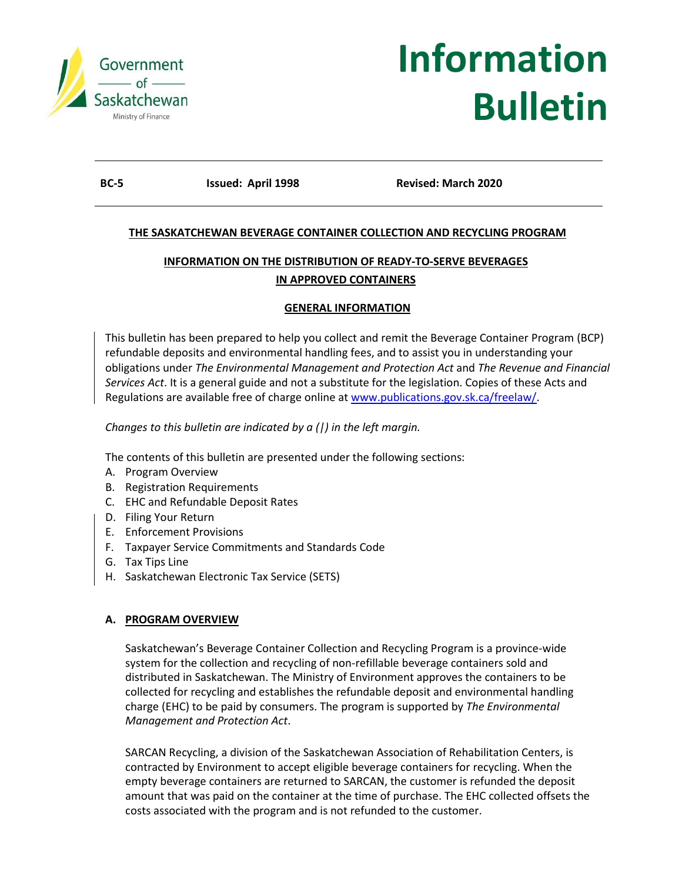

# **Information Bulletin**

**BC-5 Issued: April 1998 Revised: March 2020**

# **THE SASKATCHEWAN BEVERAGE CONTAINER COLLECTION AND RECYCLING PROGRAM**

# **INFORMATION ON THE DISTRIBUTION OF READY-TO-SERVE BEVERAGES IN APPROVED CONTAINERS**

#### **GENERAL INFORMATION**

This bulletin has been prepared to help you collect and remit the Beverage Container Program (BCP) refundable deposits and environmental handling fees, and to assist you in understanding your obligations under *The Environmental Management and Protection Act* and *The Revenue and Financial Services Act*. It is a general guide and not a substitute for the legislation. Copies of these Acts and Regulations are available free of charge online at [www.publications.gov.sk.ca/freelaw/.](http://www.publications.gov.sk.ca/freelaw/)

*Changes to this bulletin are indicated by a (|) in the left margin.*

The contents of this bulletin are presented under the following sections:

- A. Program Overview
- B. Registration Requirements
- C. EHC and Refundable Deposit Rates
- D. Filing Your Return
- E. Enforcement Provisions
- F. Taxpayer Service Commitments and Standards Code
- G. Tax Tips Line
- H. Saskatchewan Electronic Tax Service (SETS)

## **A. PROGRAM OVERVIEW**

Saskatchewan's Beverage Container Collection and Recycling Program is a province-wide system for the collection and recycling of non-refillable beverage containers sold and distributed in Saskatchewan. The Ministry of Environment approves the containers to be collected for recycling and establishes the refundable deposit and environmental handling charge (EHC) to be paid by consumers. The program is supported by *The Environmental Management and Protection Act*.

SARCAN Recycling, a division of the Saskatchewan Association of Rehabilitation Centers, is contracted by Environment to accept eligible beverage containers for recycling. When the empty beverage containers are returned to SARCAN, the customer is refunded the deposit amount that was paid on the container at the time of purchase. The EHC collected offsets the costs associated with the program and is not refunded to the customer.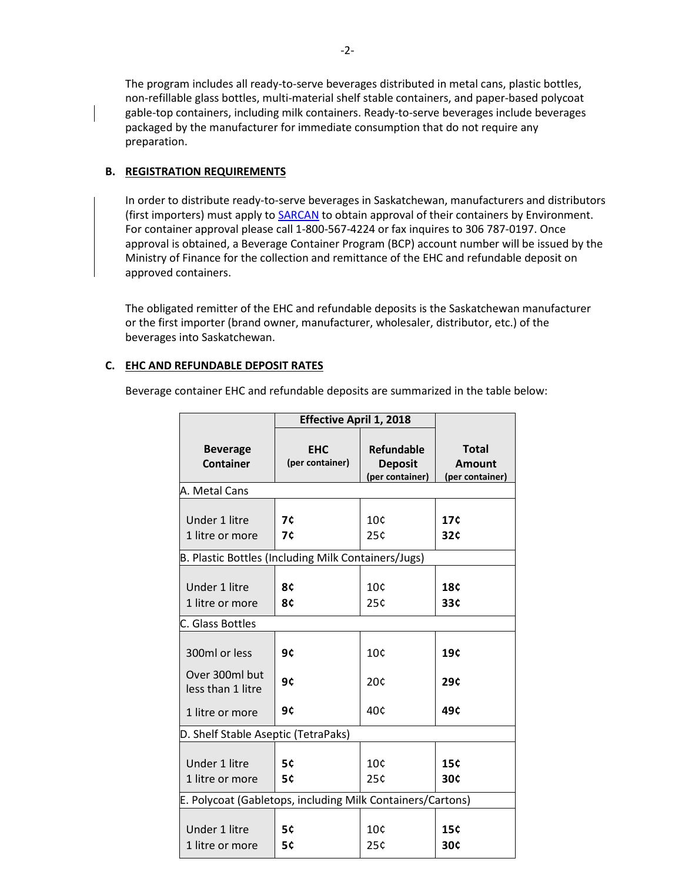The program includes all ready-to-serve beverages distributed in metal cans, plastic bottles, non-refillable glass bottles, multi-material shelf stable containers, and paper-based polycoat gable-top containers, including milk containers. Ready-to-serve beverages include beverages packaged by the manufacturer for immediate consumption that do not require any preparation.

#### **B. REGISTRATION REQUIREMENTS**

In order to distribute ready-to-serve beverages in Saskatchewan, manufacturers and distributors (first importers) must apply to **SARCAN** to obtain approval of their containers by Environment. For container approval please call 1-800-567-4224 or fax inquires to 306 787-0197. Once approval is obtained, a Beverage Container Program (BCP) account number will be issued by the Ministry of Finance for the collection and remittance of the EHC and refundable deposit on approved containers.

The obligated remitter of the EHC and refundable deposits is the Saskatchewan manufacturer or the first importer (brand owner, manufacturer, wholesaler, distributor, etc.) of the beverages into Saskatchewan.

#### **C. EHC AND REFUNDABLE DEPOSIT RATES**

Beverage container EHC and refundable deposits are summarized in the table below:

|                                                            | <b>Effective April 1, 2018</b> |                                                 |                                           |  |  |  |
|------------------------------------------------------------|--------------------------------|-------------------------------------------------|-------------------------------------------|--|--|--|
| <b>Beverage</b><br><b>Container</b>                        | <b>EHC</b><br>(per container)  | Refundable<br><b>Deposit</b><br>(per container) | <b>Total</b><br>Amount<br>(per container) |  |  |  |
| A. Metal Cans                                              |                                |                                                 |                                           |  |  |  |
| Under 1 litre<br>1 litre or more                           | 7¢<br>7¢                       | 10 <sub>c</sub><br>25c                          | 17 <sup>c</sup><br>32c                    |  |  |  |
| B. Plastic Bottles (Including Milk Containers/Jugs)        |                                |                                                 |                                           |  |  |  |
| Under 1 litre<br>1 litre or more                           | 8¢<br>8¢                       | 10¢<br>25c                                      | <b>18¢</b><br>33c                         |  |  |  |
| C. Glass Bottles                                           |                                |                                                 |                                           |  |  |  |
| 300ml or less<br>Over 300ml but                            | 9¢<br>9ċ                       | 10¢<br>20c                                      | 19c<br>29¢                                |  |  |  |
| less than 1 litre<br>1 litre or more                       | 9¢                             | 40c                                             | 49 <sup>c</sup>                           |  |  |  |
| D. Shelf Stable Aseptic (TetraPaks)                        |                                |                                                 |                                           |  |  |  |
| Under 1 litre<br>1 litre or more                           | 5¢<br>5¢                       | 10 <sub>c</sub><br>25c                          | <b>15¢</b><br>30¢                         |  |  |  |
| E. Polycoat (Gabletops, including Milk Containers/Cartons) |                                |                                                 |                                           |  |  |  |
| Under 1 litre<br>1 litre or more                           | 5¢<br>5¢                       | 10 <sub>c</sub><br>25¢                          | 15 <sup>c</sup><br>30¢                    |  |  |  |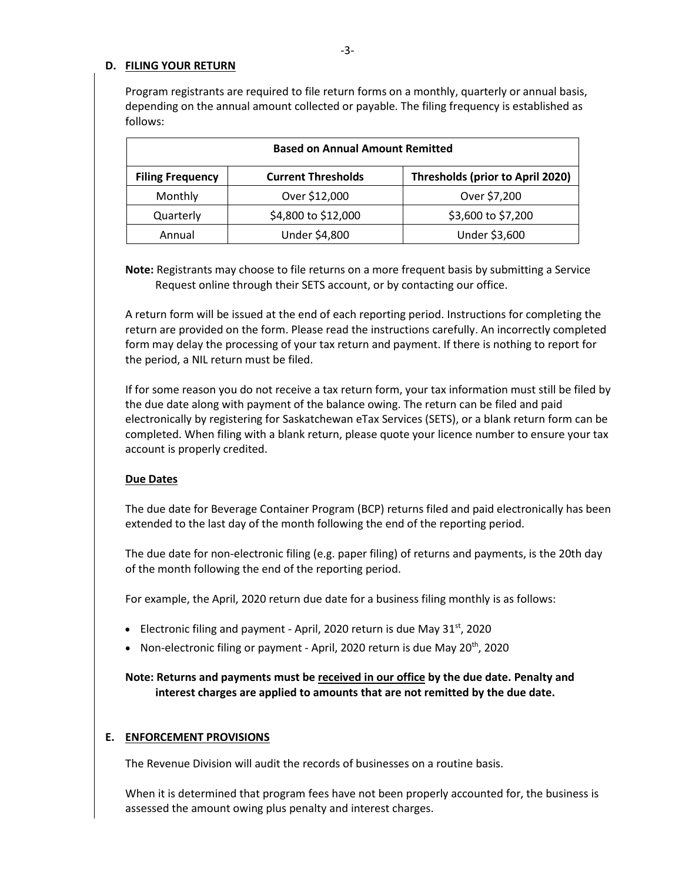#### **D. FILING YOUR RETURN**

Program registrants are required to file return forms on a monthly, quarterly or annual basis, depending on the annual amount collected or payable. The filing frequency is established as follows:

| <b>Based on Annual Amount Remitted</b> |                           |                                         |  |  |
|----------------------------------------|---------------------------|-----------------------------------------|--|--|
| <b>Filing Frequency</b>                | <b>Current Thresholds</b> | <b>Thresholds (prior to April 2020)</b> |  |  |
| Monthly                                | Over \$12,000             | Over \$7,200                            |  |  |
| Quarterly                              | \$4,800 to \$12,000       | \$3,600 to \$7,200                      |  |  |
| Annual                                 | Under \$4,800             | Under \$3,600                           |  |  |

**Note:** Registrants may choose to file returns on a more frequent basis by submitting a Service Request online through their SETS account, or by contacting our office.

A return form will be issued at the end of each reporting period. Instructions for completing the return are provided on the form. Please read the instructions carefully. An incorrectly completed form may delay the processing of your tax return and payment. If there is nothing to report for the period, a NIL return must be filed.

If for some reason you do not receive a tax return form, your tax information must still be filed by the due date along with payment of the balance owing. The return can be filed and paid electronically by registering for Saskatchewan eTax Services (SETS), or a blank return form can be completed. When filing with a blank return, please quote your licence number to ensure your tax account is properly credited.

#### **Due Dates**

The due date for Beverage Container Program (BCP) returns filed and paid electronically has been extended to the last day of the month following the end of the reporting period.

The due date for non-electronic filing (e.g. paper filing) of returns and payments, is the 20th day of the month following the end of the reporting period.

For example, the April, 2020 return due date for a business filing monthly is as follows:

- Electronic filing and payment April, 2020 return is due May  $31^{st}$ , 2020
- Non-electronic filing or payment April, 2020 return is due May 20<sup>th</sup>, 2020

**Note: Returns and payments must be received in our office by the due date. Penalty and interest charges are applied to amounts that are not remitted by the due date.**

#### **E. ENFORCEMENT PROVISIONS**

The Revenue Division will audit the records of businesses on a routine basis.

When it is determined that program fees have not been properly accounted for, the business is assessed the amount owing plus penalty and interest charges.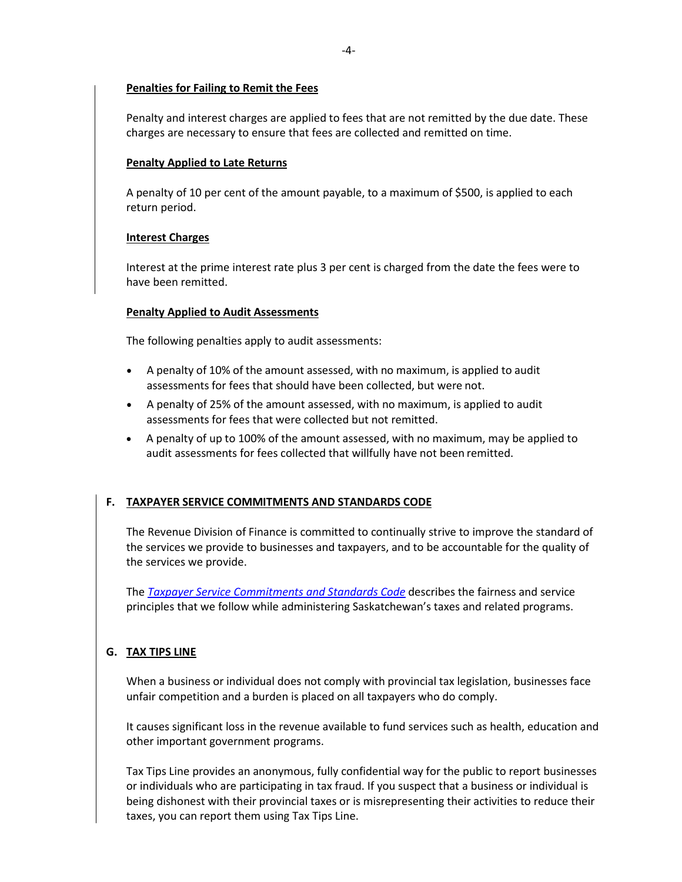#### **Penalties for Failing to Remit the Fees**

Penalty and interest charges are applied to fees that are not remitted by the due date. These charges are necessary to ensure that fees are collected and remitted on time.

#### **Penalty Applied to Late Returns**

A penalty of 10 per cent of the amount payable, to a maximum of \$500, is applied to each return period.

#### **Interest Charges**

Interest at the prime interest rate plus 3 per cent is charged from the date the fees were to have been remitted.

#### **Penalty Applied to Audit Assessments**

The following penalties apply to audit assessments:

- A penalty of 10% of the amount assessed, with no maximum, is applied to audit assessments for fees that should have been collected, but were not.
- A penalty of 25% of the amount assessed, with no maximum, is applied to audit assessments for fees that were collected but not remitted.
- A penalty of up to 100% of the amount assessed, with no maximum, may be applied to audit assessments for fees collected that willfully have not been remitted.

# **F. TAXPAYER SERVICE COMMITMENTS AND STANDARDS CODE**

The Revenue Division of Finance is committed to continually strive to improve the standard of the services we provide to businesses and taxpayers, and to be accountable for the quality of the services we provide.

The *[Taxpayer Service Commitments and Standards Code](https://sets.saskatchewan.ca/rptp/wcm/connect/39785c20-b963-4323-9f8f-9fdb030543ac/Taxpayer+Service+Commitments+and+Standards.pdf?MOD=AJPERES&CACHEID=ROOTWORKSPACE-39785c20-b963-4323-9f8f-9fdb030543ac-mE81FHI)* describes the fairness and service principles that we follow while administering Saskatchewan's taxes and related programs.

## **G. TAX TIPS LINE**

When a business or individual does not comply with provincial tax legislation, businesses face unfair competition and a burden is placed on all taxpayers who do comply.

It causes significant loss in the revenue available to fund services such as health, education and other important government programs.

Tax Tips Line provides an anonymous, fully confidential way for the public to report businesses or individuals who are participating in tax fraud. If you suspect that a business or individual is being dishonest with their provincial taxes or is misrepresenting their activities to reduce their taxes, you can report them using Tax Tips Line.